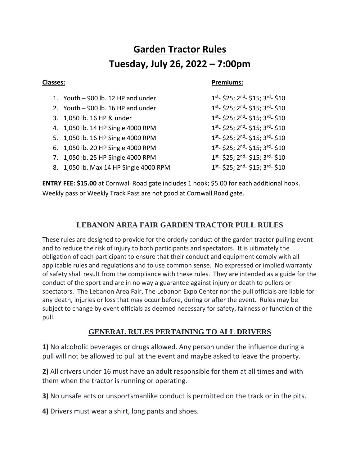# **Garden Tractor Rules Tuesday, July 26, 2022 – 7:00pm**

#### **Classes: Premiums:**

- 1. Youth  $-$  900 lb. 12 HP and under
- 2. Youth  $-$  900 lb. 16 HP and under
- 3. 1,050 lb. 16 HP & under 1
- 4. 1,050 lb. 14 HP Single 4000 RPM 1
- 5. 1,050 lb. 16 HP Single 4000 RPM
- 6. 1,050 lb. 20 HP Single 4000 RPM 1
- 7. 1,050 lb. 25 HP Single 4000 RPM 1
- 8. 1,050 lb. Max 14 HP Single 4000 RPM

<sup>st</sup>- \$25; 2<sup>nd</sup>- \$15; 3<sup>rd</sup>- \$10 <sup>st</sup>- \$25; 2<sup>nd</sup>- \$15; 3<sup>rd</sup>- \$10 <sup>st</sup>- \$25; 2<sup>nd</sup>- \$15; 3<sup>rd</sup>- \$10 <sup>st</sup>- \$25; 2<sup>nd</sup>- \$15; 3<sup>rd</sup>- \$10 <sup>st</sup>- \$25; 2<sup>nd</sup>- \$15; 3<sup>rd</sup>- \$10 <sup>st</sup>- \$25; 2<sup>nd</sup>- \$15; 3<sup>rd</sup>- \$10 <sup>st</sup>- \$25; 2<sup>nd</sup>- \$15; 3<sup>rd</sup>- \$10 <sup>st</sup>- \$25; 2<sup>nd</sup>- \$15; 3<sup>rd</sup>- \$10

**ENTRY FEE: \$15.00** at Cornwall Road gate includes 1 hook; \$5.00 for each additional hook. Weekly pass or Weekly Track Pass are not good at Cornwall Road gate.

# **LEBANON AREA FAIR GARDEN TRACTOR PULL RULES**

These rules are designed to provide for the orderly conduct of the garden tractor pulling event and to reduce the risk of injury to both participants and spectators. It is ultimately the obligation of each participant to ensure that their conduct and equipment comply with all applicable rules and regulations and to use common sense. No expressed or implied warranty of safety shall result from the compliance with these rules. They are intended as a guide for the conduct of the sport and are in no way a guarantee against injury or death to pullers or spectators. The Lebanon Area Fair, The Lebanon Expo Center nor the pull officials are liable for any death, injuries or loss that may occur before, during or after the event. Rules may be subject to change by event officials as deemed necessary for safety, fairness or function of the pull.

# **GENERAL RULES PERTAINING TO ALL DRIVERS**

**1)** No alcoholic beverages or drugs allowed. Any person under the influence during a pull will not be allowed to pull at the event and maybe asked to leave the property.

**2)** All drivers under 16 must have an adult responsible for them at all times and with them when the tractor is running or operating.

**3)** No unsafe acts or unsportsmanlike conduct is permitted on the track or in the pits.

**4)** Drivers must wear a shirt, long pants and shoes.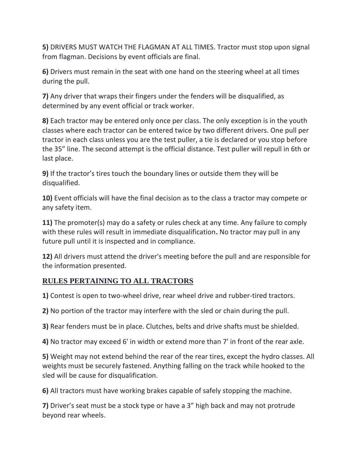**5)** DRIVERS MUST WATCH THE FLAGMAN AT ALL TIMES. Tractor must stop upon signal from flagman. Decisions by event officials are final.

**6)** Drivers must remain in the seat with one hand on the steering wheel at all times during the pull.

**7)** Any driver that wraps their fingers under the fenders will be disqualified, as determined by any event official or track worker.

**8)** Each tractor may be entered only once per class. The only exception is in the youth classes where each tractor can be entered twice by two different drivers. One pull per tractor in each class unless you are the test puller, a tie is declared or you stop before the 35" line. The second attempt is the official distance. Test puller will repull in 6th or last place.

**9)** If the tractor's tires touch the boundary lines or outside them they will be disqualified.

**10)** Event officials will have the final decision as to the class a tractor may compete or any safety item.

**11)** The promoter(s) may do a safety or rules check at any time. Any failure to comply with these rules will result in immediate disqualification**.** No tractor may pull in any future pull until it is inspected and in compliance.

**12)** All drivers must attend the driver's meeting before the pull and are responsible for the information presented.

# **RULES PERTAINING TO ALL TRACTORS**

**1)** Contest is open to two-wheel drive, rear wheel drive and rubber-tired tractors.

**2)** No portion of the tractor may interfere with the sled or chain during the pull.

**3)** Rear fenders must be in place. Clutches, belts and drive shafts must be shielded.

**4)** No tractor may exceed 6' in width or extend more than 7' in front of the rear axle.

**5)** Weight may not extend behind the rear of the rear tires, except the hydro classes. All weights must be securely fastened. Anything falling on the track while hooked to the sled will be cause for disqualification.

**6)** All tractors must have working brakes capable of safely stopping the machine.

**7)** Driver's seat must be a stock type or have a 3" high back and may not protrude beyond rear wheels.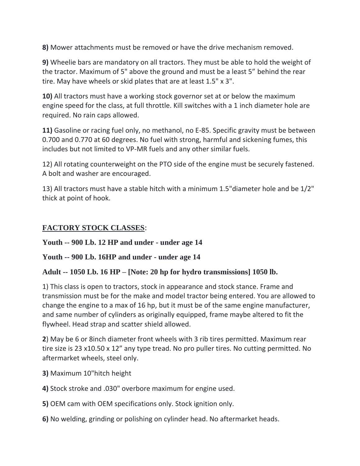**8)** Mower attachments must be removed or have the drive mechanism removed.

**9)** Wheelie bars are mandatory on all tractors. They must be able to hold the weight of the tractor. Maximum of 5" above the ground and must be a least 5" behind the rear tire. May have wheels or skid plates that are at least 1.5" x 3".

**10)** All tractors must have a working stock governor set at or below the maximum engine speed for the class, at full throttle. Kill switches with a 1 inch diameter hole are required. No rain caps allowed.

**11)** Gasoline or racing fuel only, no methanol, no E-85. Specific gravity must be between 0.700 and 0.770 at 60 degrees. No fuel with strong, harmful and sickening fumes, this includes but not limited to VP-MR fuels and any other similar fuels.

12) All rotating counterweight on the PTO side of the engine must be securely fastened. A bolt and washer are encouraged.

13) All tractors must have a stable hitch with a minimum 1.5"diameter hole and be 1/2" thick at point of hook.

# **FACTORY STOCK CLASSES**:

### **Youth -- 900 Lb. 12 HP and under - under age 14**

# **Youth -- 900 Lb. 16HP and under - under age 14**

### **Adult -- 1050 Lb. 16 HP – [Note: 20 hp for hydro transmissions] 1050 lb.**

1) This class is open to tractors, stock in appearance and stock stance. Frame and transmission must be for the make and model tractor being entered. You are allowed to change the engine to a max of 16 hp, but it must be of the same engine manufacturer, and same number of cylinders as originally equipped, frame maybe altered to fit the flywheel. Head strap and scatter shield allowed.

**2**) May be 6 or 8inch diameter front wheels with 3 rib tires permitted. Maximum rear tire size is 23 x10.50 x 12" any type tread. No pro puller tires. No cutting permitted. No aftermarket wheels, steel only.

- **3)** Maximum 10"hitch height
- **4)** Stock stroke and .030" overbore maximum for engine used.
- **5)** OEM cam with OEM specifications only. Stock ignition only.
- **6)** No welding, grinding or polishing on cylinder head. No aftermarket heads.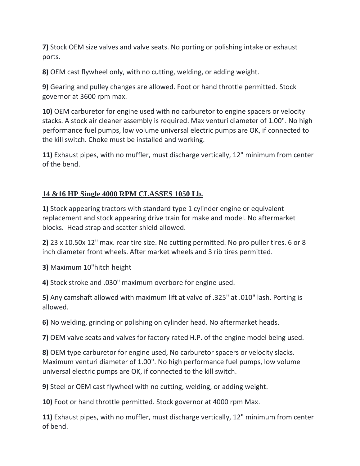**7)** Stock OEM size valves and valve seats. No porting or polishing intake or exhaust ports.

**8)** OEM cast flywheel only, with no cutting, welding, or adding weight.

**9)** Gearing and pulley changes are allowed. Foot or hand throttle permitted. Stock governor at 3600 rpm max.

**10)** OEM carburetor for engine used with no carburetor to engine spacers or velocity stacks. A stock air cleaner assembly is required. Max venturi diameter of 1.00". No high performance fuel pumps, low volume universal electric pumps are OK, if connected to the kill switch. Choke must be installed and working.

**11)** Exhaust pipes, with no muffler, must discharge vertically, 12" minimum from center of the bend.

# **14 &16 HP Single 4000 RPM CLASSES 1050 Lb.**

**1)** Stock appearing tractors with standard type 1 cylinder engine or equivalent replacement and stock appearing drive train for make and model. No aftermarket blocks. Head strap and scatter shield allowed.

**2)** 23 x 10.50x 12" max. rear tire size. No cutting permitted. No pro puller tires. 6 or 8 inch diameter front wheels. After market wheels and 3 rib tires permitted.

**3)** Maximum 10"hitch height

**4)** Stock stroke and .030" maximum overbore for engine used.

**5)** Any **c**amshaft allowed with maximum lift at valve of .325" at .010" lash. Porting is allowed.

**6)** No welding, grinding or polishing on cylinder head. No aftermarket heads.

**7)** OEM valve seats and valves for factory rated H.P. of the engine model being used.

**8)** OEM type carburetor for engine used, No carburetor spacers or velocity slacks. Maximum venturi diameter of 1.00". No high performance fuel pumps, low volume universal electric pumps are OK, if connected to the kill switch.

**9)** Steel or OEM cast flywheel with no cutting, welding, or adding weight.

**10)** Foot or hand throttle permitted. Stock governor at 4000 rpm Max.

**11)** Exhaust pipes, with no muffler, must discharge vertically, 12" minimum from center of bend.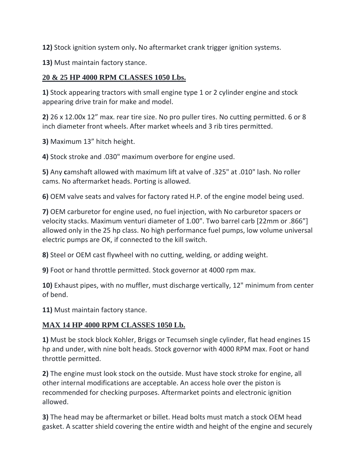**12)** Stock ignition system only**.** No aftermarket crank trigger ignition systems.

**13)** Must maintain factory stance.

## **20 & 25 HP 4000 RPM CLASSES 1050 Lbs.**

**1)** Stock appearing tractors with small engine type 1 or 2 cylinder engine and stock appearing drive train for make and model.

**2)** 26 x 12.00x 12" max. rear tire size. No pro puller tires. No cutting permitted. 6 or 8 inch diameter front wheels. After market wheels and 3 rib tires permitted.

**3)** Maximum 13" hitch height.

**4)** Stock stroke and .030" maximum overbore for engine used.

**5)** Any **c**amshaft allowed with maximum lift at valve of .325" at .010" lash. No roller cams. No aftermarket heads. Porting is allowed.

**6)** OEM valve seats and valves for factory rated H.P. of the engine model being used.

**7)** OEM carburetor for engine used, no fuel injection, with No carburetor spacers or velocity stacks. Maximum venturi diameter of 1.00". Two barrel carb [22mm or .866"] allowed only in the 25 hp class. No high performance fuel pumps, low volume universal electric pumps are OK, if connected to the kill switch.

**8)** Steel or OEM cast flywheel with no cutting, welding, or adding weight.

**9)** Foot or hand throttle permitted. Stock governor at 4000 rpm max.

**10)** Exhaust pipes, with no muffler, must discharge vertically, 12" minimum from center of bend.

**11)** Must maintain factory stance.

# **MAX 14 HP 4000 RPM CLASSES 1050 Lb.**

**1)** Must be stock block Kohler, Briggs or Tecumseh single cylinder, flat head engines 15 hp and under, with nine bolt heads. Stock governor with 4000 RPM max. Foot or hand throttle permitted.

**2)** The engine must look stock on the outside. Must have stock stroke for engine, all other internal modifications are acceptable. An access hole over the piston is recommended for checking purposes. Aftermarket points and electronic ignition allowed.

**3)** The head may be aftermarket or billet. Head bolts must match a stock OEM head gasket. A scatter shield covering the entire width and height of the engine and securely